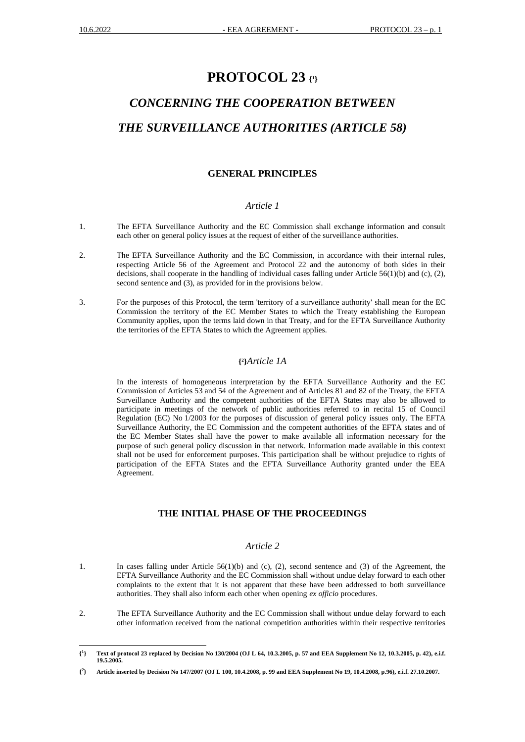# **PROTOCOL 23 { 1 }**

# *CONCERNING THE COOPERATION BETWEEN THE SURVEILLANCE AUTHORITIES (ARTICLE 58)*

#### **GENERAL PRINCIPLES**

# *Article 1*

- 1. The EFTA Surveillance Authority and the EC Commission shall exchange information and consult each other on general policy issues at the request of either of the surveillance authorities.
- 2. The EFTA Surveillance Authority and the EC Commission, in accordance with their internal rules, respecting Article 56 of the Agreement and Protocol 22 and the autonomy of both sides in their decisions, shall cooperate in the handling of individual cases falling under Article 56(1)(b) and (c), (2), second sentence and (3), as provided for in the provisions below.
- 3. For the purposes of this Protocol, the term 'territory of a surveillance authority' shall mean for the EC Commission the territory of the EC Member States to which the Treaty establishing the European Community applies, upon the terms laid down in that Treaty, and for the EFTA Surveillance Authority the territories of the EFTA States to which the Agreement applies.

#### **{ 2 }***Article 1A*

In the interests of homogeneous interpretation by the EFTA Surveillance Authority and the EC Commission of Articles 53 and 54 of the Agreement and of Articles 81 and 82 of the Treaty, the EFTA Surveillance Authority and the competent authorities of the EFTA States may also be allowed to participate in meetings of the network of public authorities referred to in recital 15 of Council Regulation (EC) No 1/2003 for the purposes of discussion of general policy issues only. The EFTA Surveillance Authority, the EC Commission and the competent authorities of the EFTA states and of the EC Member States shall have the power to make available all information necessary for the purpose of such general policy discussion in that network. Information made available in this context shall not be used for enforcement purposes. This participation shall be without prejudice to rights of participation of the EFTA States and the EFTA Surveillance Authority granted under the EEA Agreement.

# **THE INITIAL PHASE OF THE PROCEEDINGS**

#### *Article 2*

- 1. In cases falling under Article 56(1)(b) and (c), (2), second sentence and (3) of the Agreement, the EFTA Surveillance Authority and the EC Commission shall without undue delay forward to each other complaints to the extent that it is not apparent that these have been addressed to both surveillance authorities. They shall also inform each other when opening *ex officio* procedures.
- 2. The EFTA Surveillance Authority and the EC Commission shall without undue delay forward to each other information received from the national competition authorities within their respective territories

**<sup>{</sup> 1 } Text of protocol 23 replaced by Decision No 130/2004 (OJ L 64, 10.3.2005, p. 57 and EEA Supplement No 12, 10.3.2005, p. 42), e.i.f. 19.5.2005.**

**<sup>{</sup> 2 } Article inserted by Decision No 147/2007 (OJ L 100, 10.4.2008, p. 99 and EEA Supplement No 19, 10.4.2008, p.96), e.i.f. 27.10.2007.**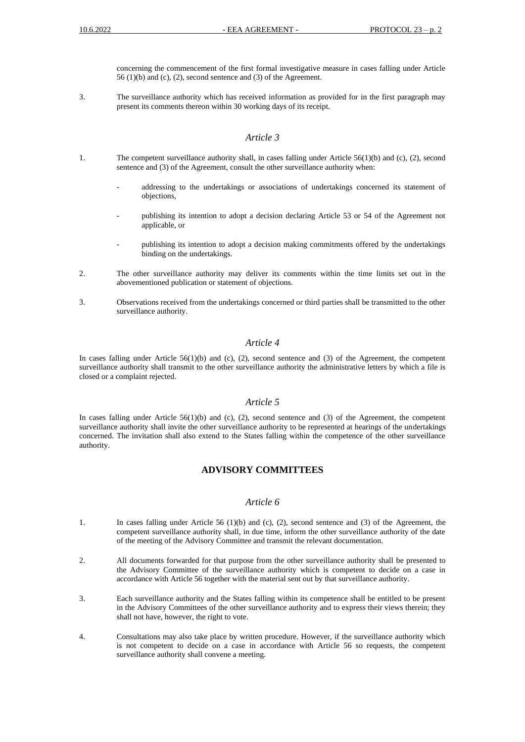concerning the commencement of the first formal investigative measure in cases falling under Article 56 (1)(b) and (c), (2), second sentence and (3) of the Agreement.

3. The surveillance authority which has received information as provided for in the first paragraph may present its comments thereon within 30 working days of its receipt.

#### *Article 3*

- 1. The competent surveillance authority shall, in cases falling under Article 56(1)(b) and (c), (2), second sentence and (3) of the Agreement, consult the other surveillance authority when:
	- addressing to the undertakings or associations of undertakings concerned its statement of objections,
	- publishing its intention to adopt a decision declaring Article 53 or 54 of the Agreement not applicable, or
	- publishing its intention to adopt a decision making commitments offered by the undertakings binding on the undertakings.
- 2. The other surveillance authority may deliver its comments within the time limits set out in the abovementioned publication or statement of objections.
- 3. Observations received from the undertakings concerned or third parties shall be transmitted to the other surveillance authority.

# *Article 4*

In cases falling under Article 56(1)(b) and (c), (2), second sentence and (3) of the Agreement, the competent surveillance authority shall transmit to the other surveillance authority the administrative letters by which a file is closed or a complaint rejected.

# *Article 5*

In cases falling under Article  $56(1)(b)$  and (c), (2), second sentence and (3) of the Agreement, the competent surveillance authority shall invite the other surveillance authority to be represented at hearings of the undertakings concerned. The invitation shall also extend to the States falling within the competence of the other surveillance authority.

# **ADVISORY COMMITTEES**

#### *Article 6*

- 1. In cases falling under Article 56 (1)(b) and (c), (2), second sentence and (3) of the Agreement, the competent surveillance authority shall, in due time, inform the other surveillance authority of the date of the meeting of the Advisory Committee and transmit the relevant documentation.
- 2. All documents forwarded for that purpose from the other surveillance authority shall be presented to the Advisory Committee of the surveillance authority which is competent to decide on a case in accordance with Article 56 together with the material sent out by that surveillance authority.
- 3. Each surveillance authority and the States falling within its competence shall be entitled to be present in the Advisory Committees of the other surveillance authority and to express their views therein; they shall not have, however, the right to vote.
- 4. Consultations may also take place by written procedure. However, if the surveillance authority which is not competent to decide on a case in accordance with Article 56 so requests, the competent surveillance authority shall convene a meeting.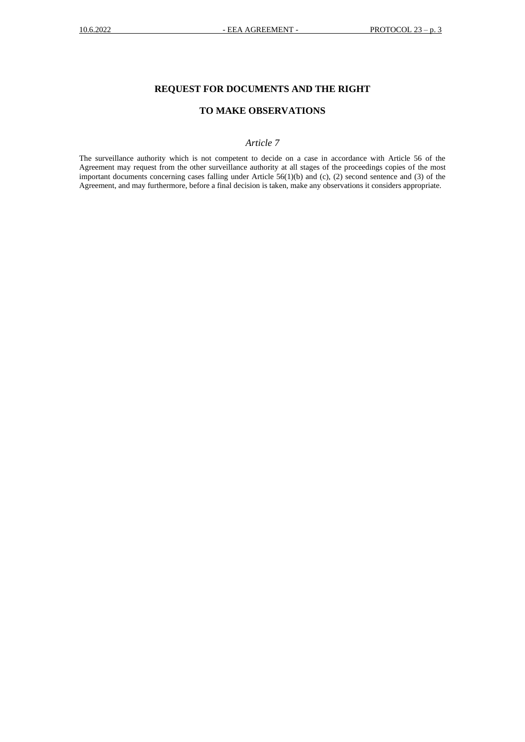# **REQUEST FOR DOCUMENTS AND THE RIGHT**

# **TO MAKE OBSERVATIONS**

# *Article 7*

The surveillance authority which is not competent to decide on a case in accordance with Article 56 of the Agreement may request from the other surveillance authority at all stages of the proceedings copies of the most important documents concerning cases falling under Article 56(1)(b) and (c), (2) second sentence and (3) of the Agreement, and may furthermore, before a final decision is taken, make any observations it considers appropriate.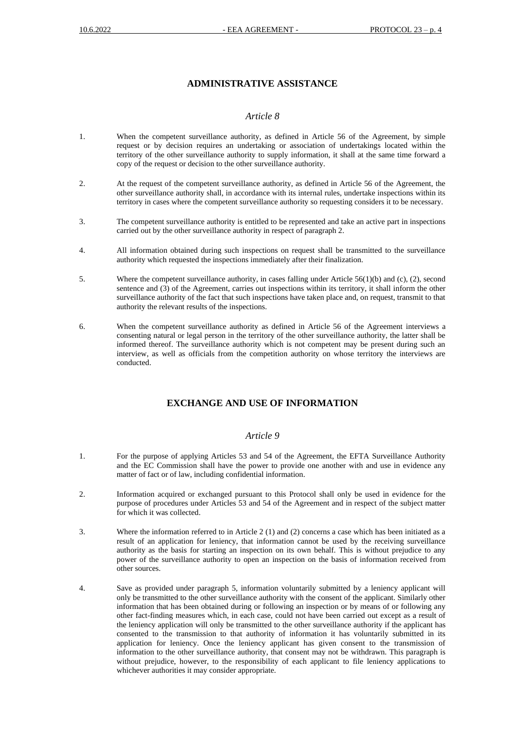# **ADMINISTRATIVE ASSISTANCE**

#### *Article 8*

- 1. When the competent surveillance authority, as defined in Article 56 of the Agreement, by simple request or by decision requires an undertaking or association of undertakings located within the territory of the other surveillance authority to supply information, it shall at the same time forward a copy of the request or decision to the other surveillance authority.
- 2. At the request of the competent surveillance authority, as defined in Article 56 of the Agreement, the other surveillance authority shall, in accordance with its internal rules, undertake inspections within its territory in cases where the competent surveillance authority so requesting considers it to be necessary.
- 3. The competent surveillance authority is entitled to be represented and take an active part in inspections carried out by the other surveillance authority in respect of paragraph 2.
- 4. All information obtained during such inspections on request shall be transmitted to the surveillance authority which requested the inspections immediately after their finalization.
- 5. Where the competent surveillance authority, in cases falling under Article 56(1)(b) and (c), (2), second sentence and (3) of the Agreement, carries out inspections within its territory, it shall inform the other surveillance authority of the fact that such inspections have taken place and, on request, transmit to that authority the relevant results of the inspections.
- 6. When the competent surveillance authority as defined in Article 56 of the Agreement interviews a consenting natural or legal person in the territory of the other surveillance authority, the latter shall be informed thereof. The surveillance authority which is not competent may be present during such an interview, as well as officials from the competition authority on whose territory the interviews are conducted.

# **EXCHANGE AND USE OF INFORMATION**

#### *Article 9*

- 1. For the purpose of applying Articles 53 and 54 of the Agreement, the EFTA Surveillance Authority and the EC Commission shall have the power to provide one another with and use in evidence any matter of fact or of law, including confidential information.
- 2. Information acquired or exchanged pursuant to this Protocol shall only be used in evidence for the purpose of procedures under Articles 53 and 54 of the Agreement and in respect of the subject matter for which it was collected.
- 3. Where the information referred to in Article 2 (1) and (2) concerns a case which has been initiated as a result of an application for leniency, that information cannot be used by the receiving surveillance authority as the basis for starting an inspection on its own behalf. This is without prejudice to any power of the surveillance authority to open an inspection on the basis of information received from other sources.
- 4. Save as provided under paragraph 5, information voluntarily submitted by a leniency applicant will only be transmitted to the other surveillance authority with the consent of the applicant. Similarly other information that has been obtained during or following an inspection or by means of or following any other fact-finding measures which, in each case, could not have been carried out except as a result of the leniency application will only be transmitted to the other surveillance authority if the applicant has consented to the transmission to that authority of information it has voluntarily submitted in its application for leniency. Once the leniency applicant has given consent to the transmission of information to the other surveillance authority, that consent may not be withdrawn. This paragraph is without prejudice, however, to the responsibility of each applicant to file leniency applications to whichever authorities it may consider appropriate.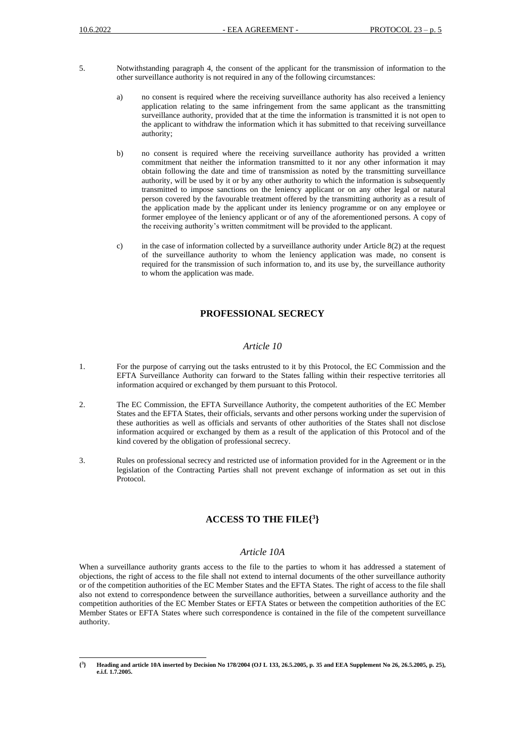- 5. Notwithstanding paragraph 4, the consent of the applicant for the transmission of information to the other surveillance authority is not required in any of the following circumstances:
	- a) no consent is required where the receiving surveillance authority has also received a leniency application relating to the same infringement from the same applicant as the transmitting surveillance authority, provided that at the time the information is transmitted it is not open to the applicant to withdraw the information which it has submitted to that receiving surveillance authority;
	- b) no consent is required where the receiving surveillance authority has provided a written commitment that neither the information transmitted to it nor any other information it may obtain following the date and time of transmission as noted by the transmitting surveillance authority, will be used by it or by any other authority to which the information is subsequently transmitted to impose sanctions on the leniency applicant or on any other legal or natural person covered by the favourable treatment offered by the transmitting authority as a result of the application made by the applicant under its leniency programme or on any employee or former employee of the leniency applicant or of any of the aforementioned persons. A copy of the receiving authority's written commitment will be provided to the applicant.
	- c) in the case of information collected by a surveillance authority under Article 8(2) at the request of the surveillance authority to whom the leniency application was made, no consent is required for the transmission of such information to, and its use by, the surveillance authority to whom the application was made.

#### **PROFESSIONAL SECRECY**

#### *Article 10*

- 1. For the purpose of carrying out the tasks entrusted to it by this Protocol, the EC Commission and the EFTA Surveillance Authority can forward to the States falling within their respective territories all information acquired or exchanged by them pursuant to this Protocol.
- 2. The EC Commission, the EFTA Surveillance Authority, the competent authorities of the EC Member States and the EFTA States, their officials, servants and other persons working under the supervision of these authorities as well as officials and servants of other authorities of the States shall not disclose information acquired or exchanged by them as a result of the application of this Protocol and of the kind covered by the obligation of professional secrecy.
- 3. Rules on professional secrecy and restricted use of information provided for in the Agreement or in the legislation of the Contracting Parties shall not prevent exchange of information as set out in this Protocol.

# **ACCESS TO THE FILE{ 3 }**

#### *Article 10A*

When a surveillance authority grants access to the file to the parties to whom it has addressed a statement of objections, the right of access to the file shall not extend to internal documents of the other surveillance authority or of the competition authorities of the EC Member States and the EFTA States. The right of access to the file shall also not extend to correspondence between the surveillance authorities, between a surveillance authority and the competition authorities of the EC Member States or EFTA States or between the competition authorities of the EC Member States or EFTA States where such correspondence is contained in the file of the competent surveillance authority.

**<sup>{</sup> 3 } Heading and article 10A inserted by Decision No 178/2004 (OJ L 133, 26.5.2005, p. 35 and EEA Supplement No 26, 26.5.2005, p. 25), e.i.f. 1.7.2005.**